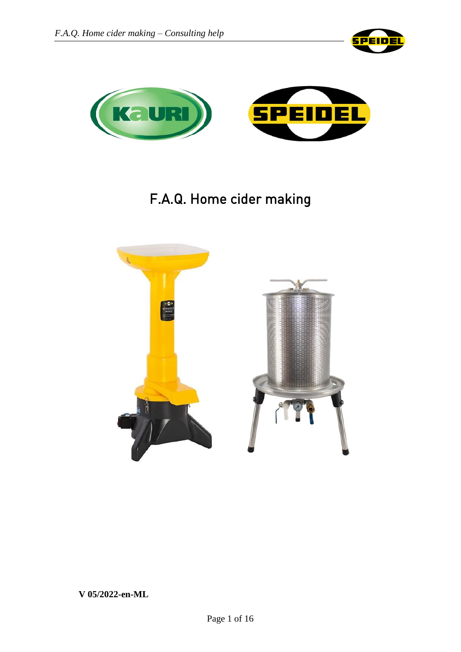



# F.A.Q. Home cider making

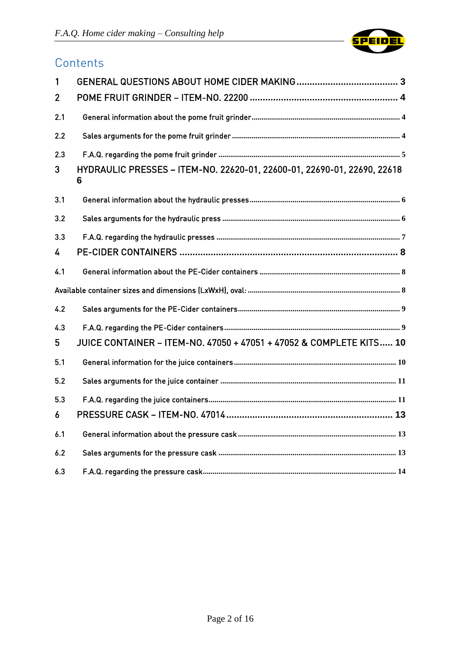

# **Contents**

| 1              |                                                                              |
|----------------|------------------------------------------------------------------------------|
| $\overline{2}$ |                                                                              |
| 2.1            |                                                                              |
| 2.2            |                                                                              |
| 2.3            |                                                                              |
| 3              | HYDRAULIC PRESSES - ITEM-NO. 22620-01, 22600-01, 22690-01, 22690, 22618<br>6 |
| 3.1            |                                                                              |
| 3.2            |                                                                              |
| 3.3            |                                                                              |
| 4              |                                                                              |
| 4.1            |                                                                              |
|                |                                                                              |
| 4.2            |                                                                              |
| 4.3            |                                                                              |
| 5              | JUICE CONTAINER - ITEM-NO. 47050 + 47051 + 47052 & COMPLETE KITS 10          |
| 5.1            |                                                                              |
| 5.2            |                                                                              |
| 5.3            |                                                                              |
| 6              |                                                                              |
| 6.1            |                                                                              |
| 6.2            |                                                                              |
| 6.3            |                                                                              |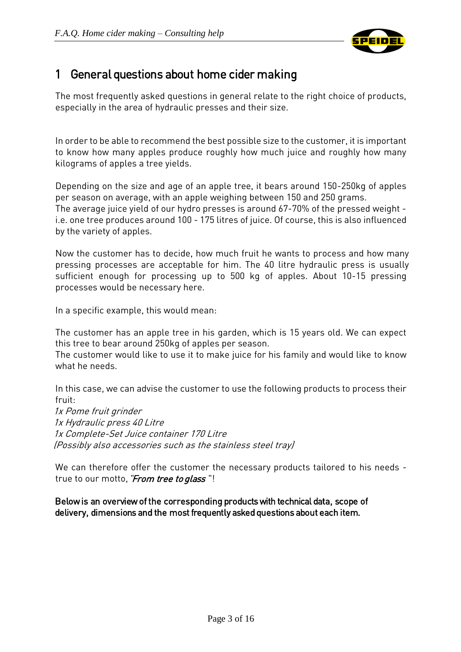

# <span id="page-2-0"></span>1 General questions about home cider making

The most frequently asked questions in general relate to the right choice of products, especially in the area of hydraulic presses and their size.

In order to be able to recommend the best possible size to the customer, it is important to know how many apples produce roughly how much juice and roughly how many kilograms of apples a tree yields.

Depending on the size and age of an apple tree, it bears around 150-250kg of apples per season on average, with an apple weighing between 150 and 250 grams. The average juice yield of our hydro presses is around 67-70% of the pressed weight i.e. one tree produces around 100 - 175 litres of juice. Of course, this is also influenced by the variety of apples.

Now the customer has to decide, how much fruit he wants to process and how many pressing processes are acceptable for him. The 40 litre hydraulic press is usually sufficient enough for processing up to 500 kg of apples. About 10-15 pressing processes would be necessary here.

In a specific example, this would mean:

The customer has an apple tree in his garden, which is 15 years old. We can expect this tree to bear around 250kg of apples per season.

The customer would like to use it to make juice for his family and would like to know what he needs.

In this case, we can advise the customer to use the following products to process their fruit:

1x Pome fruit grinder 1x Hydraulic press 40 Litre 1x Complete-Set Juice container 170 Litr<sup>e</sup> (Possibly also accessories such as the stainless steel tray)

We can therefore offer the customer the necessary products tailored to his needs true to our motto, "From tree to glass"!

Below is an overview of the corresponding products with technical data, scope of delivery, dimensions and the most frequently asked questions about each item.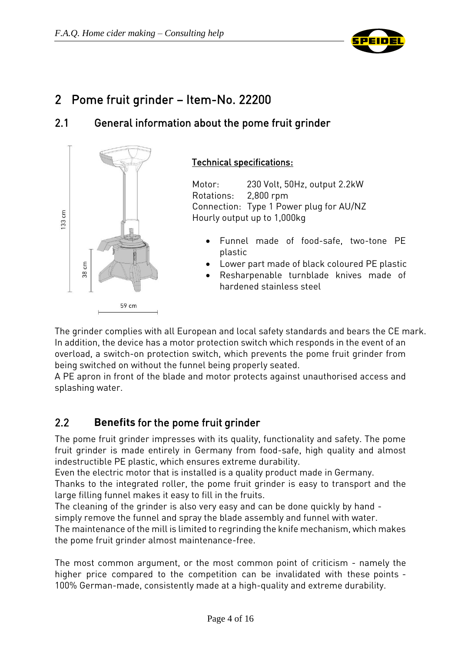

# <span id="page-3-0"></span>2 Pome fruit grinder – Item-No. 22200

### <span id="page-3-1"></span>2.1 General information about the pome fruit grinder



#### Technical specifications:

Motor: 230 Volt, 50Hz, output 2.2kW Rotations: 2,800 rpm Connection: Type 1 Power plug for AU/NZ Hourly output up to 1,000kg

- Funnel made of food-safe, two-tone PE plastic
- Lower part made of black coloured PE plastic
- Resharpenable turnblade knives made of hardened stainless steel

The grinder complies with all European and local safety standards and bears the CE mark. In addition, the device has a motor protection switch which responds in the event of an overload, a switch-on protection switch, which prevents the pome fruit grinder from being switched on without the funnel being properly seated.

A PE apron in front of the blade and motor protects against unauthorised access and splashing water.

# <span id="page-3-2"></span>2.2 **Benefits** for the pome fruit grinder

The pome fruit grinder impresses with its quality, functionality and safety. The pome fruit grinder is made entirely in Germany from food-safe, high quality and almost indestructible PE plastic, which ensures extreme durability.

Even the electric motor that is installed is a quality product made in Germany.

Thanks to the integrated roller, the pome fruit grinder is easy to transport and the large filling funnel makes it easy to fill in the fruits.

The cleaning of the grinder is also very easy and can be done quickly by hand simply remove the funnel and spray the blade assembly and funnel with water.

The maintenance of the mill is limited to regrinding the knife mechanism, which makes the pome fruit grinder almost maintenance-free.

The most common argument, or the most common point of criticism - namely the higher price compared to the competition can be invalidated with these points - 100% German-made, consistently made at a high-quality and extreme durability.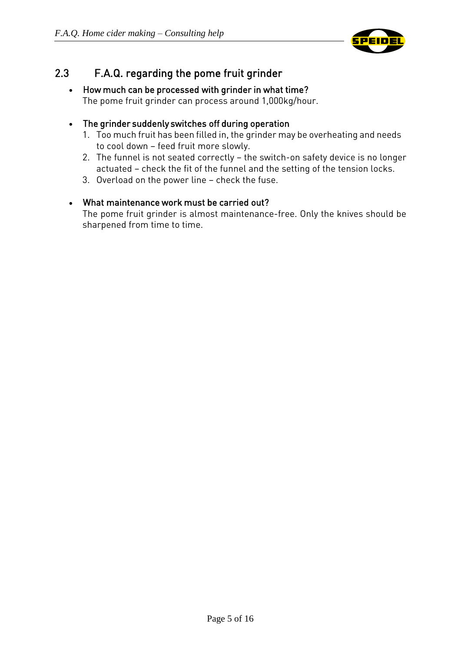

# <span id="page-4-0"></span>2.3 F.A.Q. regarding the pome fruit grinder

#### • How much can be processed with grinder in what time? The pome fruit grinder can process around 1,000kg/hour.

#### The grinder suddenly switches off during operation

- 1. Too much fruit has been filled in, the grinder may be overheating and needs to cool down – feed fruit more slowly.
- 2. The funnel is not seated correctly the switch-on safety device is no longer actuated – check the fit of the funnel and the setting of the tension locks.
- 3. Overload on the power line check the fuse.

#### What maintenance work must be carried out?

The pome fruit grinder is almost maintenance-free. Only the knives should be sharpened from time to time.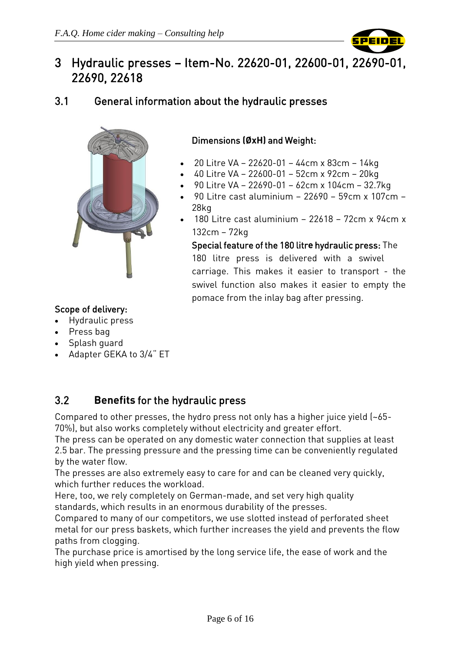

# <span id="page-5-0"></span>3 Hydraulic presses – Item-No. 22620-01, 22600-01, 22690-01, 22690, 22618

### <span id="page-5-1"></span>3.1 General information about the hydraulic presses



#### Dimensions **(ØxH)** and Weight:

- 20 Litre VA 22620-01 44cm x 83cm 14kg
- 40 Litre VA 22600-01 52cm x 92cm 20kg
- 90 Litre VA 22690-01 62cm x 104cm 32.7kg
- 90 Litre cast aluminium 22690 59cm x 107cm 28kg
- 180 Litre cast aluminium 22618 72cm x 94cm x 132cm – 72kg

Special feature of the 180 litr**e** hydraulic press: The 180 litre press is delivered with a swivel carriage. This makes it easier to transport - the swivel function also makes it easier to empty the pomace from the inlay bag after pressing.

#### Scope of delivery:

- Hydraulic press
- Press bag
- Splash guard
- Adapter GEKA to 3/4" ET

# <span id="page-5-2"></span>3.2 **Benefits** for the hydraulic press

Compared to other presses, the hydro press not only has a higher juice yield (~65- 70%), but also works completely without electricity and greater effort.

The press can be operated on any domestic water connection that supplies at least 2.5 bar. The pressing pressure and the pressing time can be conveniently regulated by the water flow.

The presses are also extremely easy to care for and can be cleaned very quickly, which further reduces the workload.

Here, too, we rely completely on German-made, and set very high quality standards, which results in an enormous durability of the presses.

Compared to many of our competitors, we use slotted instead of perforated sheet metal for our press baskets, which further increases the yield and prevents the flow paths from clogging.

The purchase price is amortised by the long service life, the ease of work and the high yield when pressing.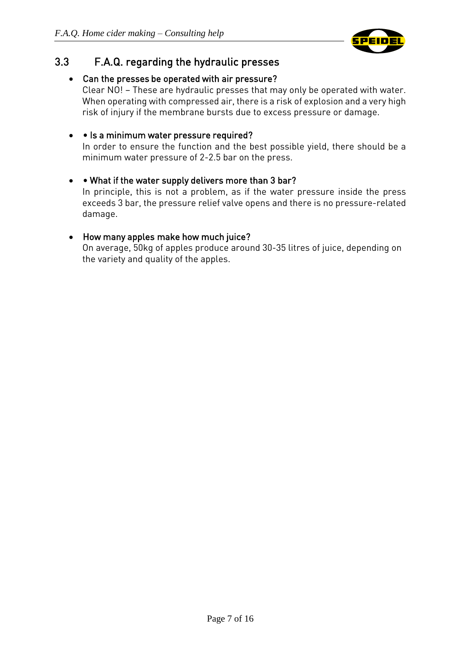

# <span id="page-6-0"></span>3.3 F.A.Q. regarding the hydraulic presses

#### Can the presses be operated with air pressure?

Clear NO! – These are hydraulic presses that may only be operated with water. When operating with compressed air, there is a risk of explosion and a very high risk of injury if the membrane bursts due to excess pressure or damage.

#### • • Is a minimum water pressure required?

In order to ensure the function and the best possible yield, there should be a minimum water pressure of 2-2.5 bar on the press.

#### • • What if the water supply delivers more than 3 bar? In principle, this is not a problem, as if the water pressure inside the press exceeds 3 bar, the pressure relief valve opens and there is no pressure-related damage.

#### How many apples make how much juice?

On average, 50kg of apples produce around 30-35 litres of juice, depending on the variety and quality of the apples.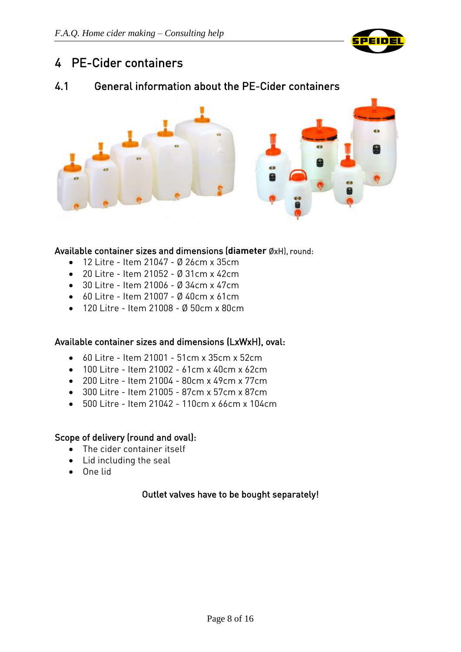

# <span id="page-7-0"></span>4 PE-Cider containers

### <span id="page-7-1"></span>4.1 General information about the PE-Cider containers



#### Available container sizes and dimensions (**diameter** ØxH), round:

- 12 Litre Item 21047 Ø 26cm x 35cm
- 20 Litre Item 21052 Ø 31cm x 42cm
- $\bullet$  30 Litre Item 21006 Ø 34cm x 47cm
- 60 Litre Item 21007 Ø 40cm x 61cm
- 120 Litre Item 21008 Ø 50cm x 80cm

#### <span id="page-7-2"></span>Available container sizes and dimensions (LxWxH), oval:

- 60 Litre Item 21001 51cm x 35cm x 52cm
- $\bullet$  100 Litre Item 21002 61cm x 40cm x 62cm
- 200 Litre Item 21004 80cm x 49cm x 77cm
- 300 Litre Item 21005 87cm x 57cm x 87cm
- 500 Litre Item 21042 110cm x 66cm x 104cm

#### Scope of delivery (round and oval):

- The cider container itself
- Lid including the seal
- One lid

#### Outlet valves have to be bought separately!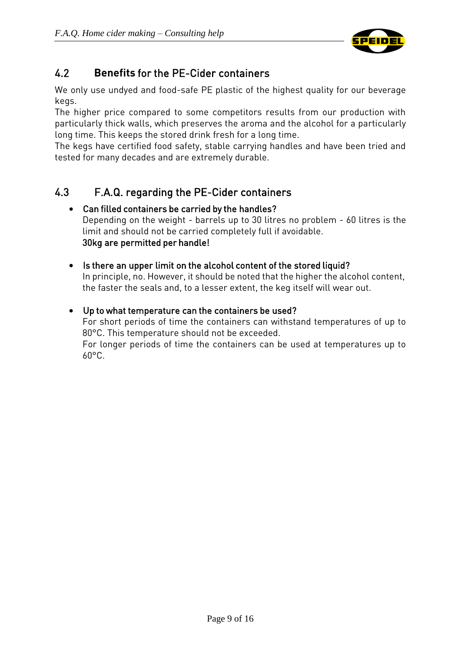

# <span id="page-8-0"></span>4.2 **Benefits** for the PE-Cider containers

We only use undyed and food-safe PE plastic of the highest quality for our beverage kegs.

The higher price compared to some competitors results from our production with particularly thick walls, which preserves the aroma and the alcohol for a particularly long time. This keeps the stored drink fresh for a long time.

The kegs have certified food safety, stable carrying handles and have been tried and tested for many decades and are extremely durable.

# <span id="page-8-1"></span>4.3 F.A.Q. regarding the PE-Cider containers

#### Can filled containers be carried by the handles? Depending on the weight - barrels up to 30 litres no problem - 60 litres is the limit and should not be carried completely full if avoidable. 30kg are permitted per handle!

• Is there an upper limit on the alcohol content of the stored liquid? In principle, no. However, it should be noted that the higher the alcohol content, the faster the seals and, to a lesser extent, the keg itself will wear out.

#### Up to what temperature can the containers be used?

For short periods of time the containers can withstand temperatures of up to 80°C. This temperature should not be exceeded.

For longer periods of time the containers can be used at temperatures up to  $60^{\circ}$ C.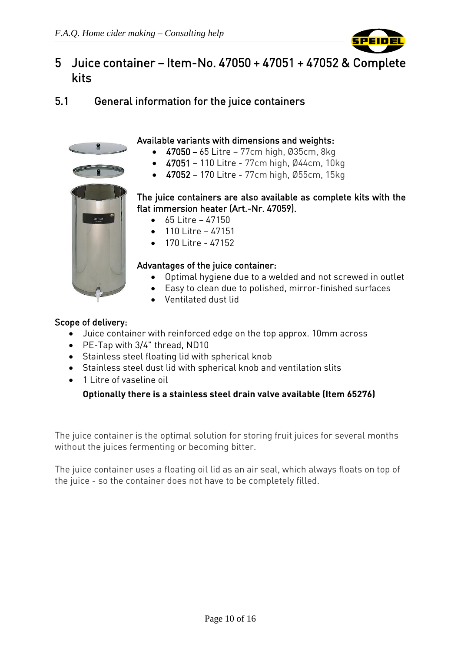

# <span id="page-9-0"></span>5 Juice container – Item-No. 47050 + 47051 + 47052 & Complete kits

# <span id="page-9-1"></span>5.1 General information for the juice containers



#### Available variants with dimensions and weights:

- $-47050 65$  Litre 77cm high, Ø35cm, 8kg
- 47051 110 Litre 77cm high, Ø44cm, 10kg
- $-47052 170$  Litre 77cm high, Ø55cm, 15kg

#### The juice containers are also available as complete kits with the flat immersion heater (Art.-Nr. 47059).

- $65$  Litre 47150
- $-47151$
- 170 Litre 47152

#### Advantages of the juice container:

- Optimal hygiene due to a welded and not screwed in outlet
- Easy to clean due to polished, mirror-finished surfaces
- Ventilated dust lid

#### Scope of delivery:

- Juice container with reinforced edge on the top approx. 10mm across
- PE-Tap with 3/4" thread, ND10
- Stainless steel floating lid with spherical knob
- Stainless steel dust lid with spherical knob and ventilation slits
- 1 Litre of vaseline oil

#### **Optionally there is a stainless steel drain valve available (Item 65276)**

The juice container is the optimal solution for storing fruit juices for several months without the juices fermenting or becoming bitter.

The juice container uses a floating oil lid as an air seal, which always floats on top of the juice - so the container does not have to be completely filled.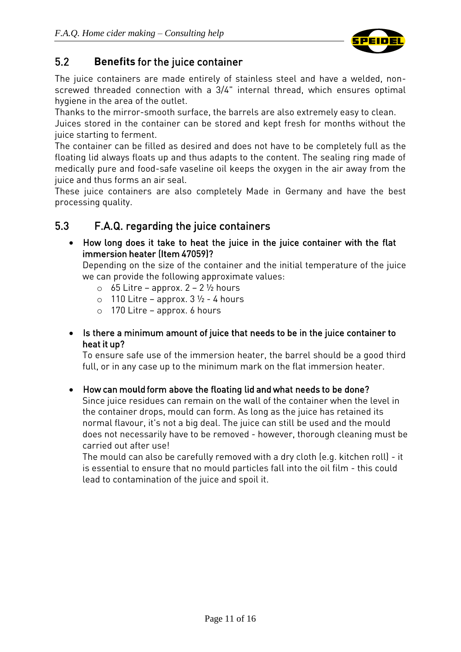

# <span id="page-10-0"></span>5.2 **Benefits** for the juice container

The juice containers are made entirely of stainless steel and have a welded, nonscrewed threaded connection with a 3/4" internal thread, which ensures optimal hygiene in the area of the outlet.

Thanks to the mirror-smooth surface, the barrels are also extremely easy to clean. Juices stored in the container can be stored and kept fresh for months without the juice starting to ferment.

The container can be filled as desired and does not have to be completely full as the floating lid always floats up and thus adapts to the content. The sealing ring made of medically pure and food-safe vaseline oil keeps the oxygen in the air away from the juice and thus forms an air seal.

These juice containers are also completely Made in Germany and have the best processing quality.

### <span id="page-10-1"></span>5.3 F.A.Q. regarding the juice containers

 How long does it take to heat the juice in the juice container with the flat immersion heater (Item 47059)?

Depending on the size of the container and the initial temperature of the juice we can provide the following approximate values:

- $\circ$  65 Litre approx. 2 2  $\frac{1}{2}$  hours
- $\circ$  110 Litre approx. 3  $\frac{1}{2}$  4 hours
- o 170 Litre approx. 6 hours

#### • Is there a minimum amount of juice that needs to be in the juice container to heat it up?

To ensure safe use of the immersion heater, the barrel should be a good third full, or in any case up to the minimum mark on the flat immersion heater.

#### How can mo**u**ld form above the floating lid and what needs to be done?

Since juice residues can remain on the wall of the container when the level in the container drops, mould can form. As long as the juice has retained its normal flavour, it's not a big deal. The juice can still be used and the mould does not necessarily have to be removed - however, thorough cleaning must be carried out after use!

The mould can also be carefully removed with a dry cloth (e.g. kitchen roll) - it is essential to ensure that no mould particles fall into the oil film - this could lead to contamination of the juice and spoil it.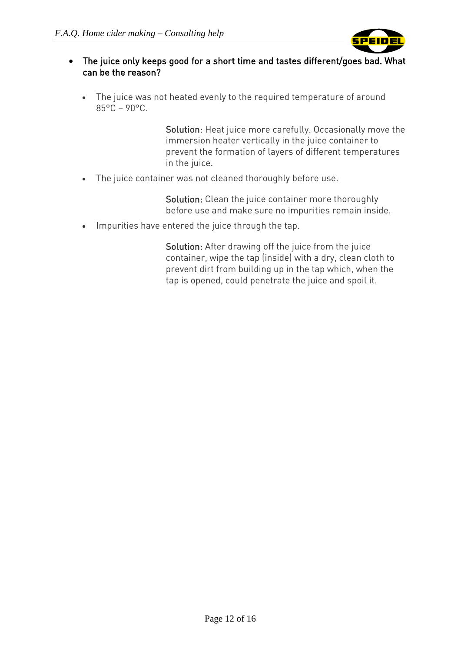

#### The juice only keeps good for a short time and tastes different/goes bad. What can be the reason?

 The juice was not heated evenly to the required temperature of around 85°C – 90°C.

> Solution: Heat juice more carefully. Occasionally move the immersion heater vertically in the juice container to prevent the formation of layers of different temperatures in the juice.

The juice container was not cleaned thoroughly before use.

Solution: Clean the juice container more thoroughly before use and make sure no impurities remain inside.

• Impurities have entered the juice through the tap.

Solution: After drawing off the juice from the juice container, wipe the tap (inside) with a dry, clean cloth to prevent dirt from building up in the tap which, when the tap is opened, could penetrate the juice and spoil it.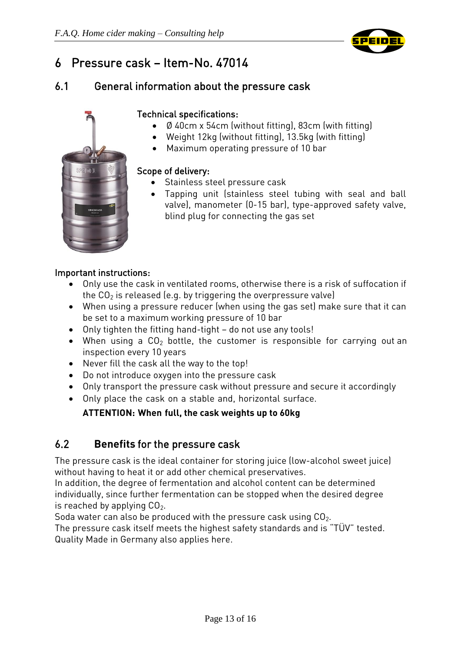

# <span id="page-12-0"></span>6 Pressure cask – Item-No. 47014

### <span id="page-12-1"></span>6.1 General information about the pressure cask



#### Technical specifications:

- Ø 40cm x 54cm (without fitting), 83cm (with fitting)
- Weight 12kg (without fitting), 13.5kg (with fitting)
- Maximum operating pressure of 10 bar

#### Scope of delivery:

- **Stainless steel pressure cask**
- Tapping unit (stainless steel tubing with seal and ball valve), manometer (0-15 bar), type-approved safety valve, blind plug for connecting the gas set

#### Important instructions:

- Only use the cask in ventilated rooms, otherwise there is a risk of suffocation if the  $CO<sub>2</sub>$  is released (e.g. by triggering the overpressure valve)
- When using a pressure reducer (when using the gas set) make sure that it can be set to a maximum working pressure of 10 bar
- Only tighten the fitting hand-tight do not use any tools!
- When using a  $CO<sub>2</sub>$  bottle, the customer is responsible for carrying out an inspection every 10 years
- Never fill the cask all the way to the top!
- Do not introduce oxygen into the pressure cask
- Only transport the pressure cask without pressure and secure it accordingly
- Only place the cask on a stable and, horizontal surface.

#### **ATTENTION: When full, the cask weights up to 60kg**

### <span id="page-12-2"></span>6.2 **Benefits** for the pressure cask

The pressure cask is the ideal container for storing juice (low-alcohol sweet juice) without having to heat it or add other chemical preservatives.

In addition, the degree of fermentation and alcohol content can be determined individually, since further fermentation can be stopped when the desired degree is reached by applying  $CO<sub>2</sub>$ .

Soda water can also be produced with the pressure cask using  $CO<sub>2</sub>$ . The pressure cask itself meets the highest safety standards and is "TÜV" tested.

Quality Made in Germany also applies here.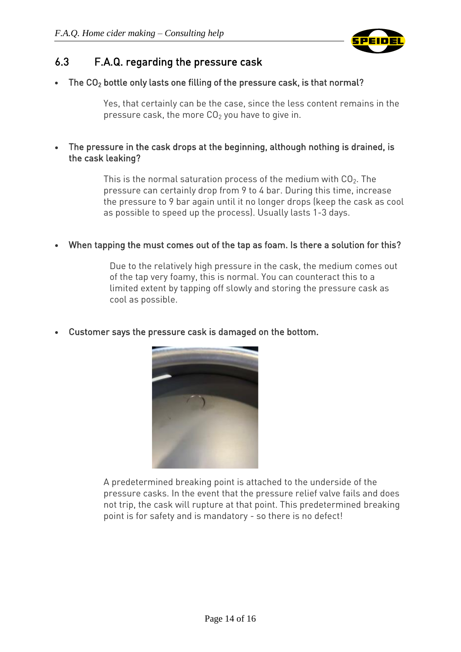

### <span id="page-13-0"></span>6.3 F.A.Q. regarding the pressure cask

The  $CO<sub>2</sub>$  bottle only lasts one filling of the pressure cask, is that normal?

Yes, that certainly can be the case, since the less content remains in the pressure cask, the more  $CO<sub>2</sub>$  you have to give in.

 The pressure in the cask drops at the beginning, although nothing is drained, is the cask leaking?

> This is the normal saturation process of the medium with  $CO<sub>2</sub>$ . The pressure can certainly drop from 9 to 4 bar. During this time, increase the pressure to 9 bar again until it no longer drops (keep the cask as cool as possible to speed up the process). Usually lasts 1-3 days.

When tapping the must comes out of the tap as foam. Is there a solution for this?

Due to the relatively high pressure in the cask, the medium comes out of the tap very foamy, this is normal. You can counteract this to a limited extent by tapping off slowly and storing the pressure cask as cool as possible.

Customer says the pressure cask is damaged on the bottom.



A predetermined breaking point is attached to the underside of the pressure casks. In the event that the pressure relief valve fails and does not trip, the cask will rupture at that point. This predetermined breaking point is for safety and is mandatory - so there is no defect!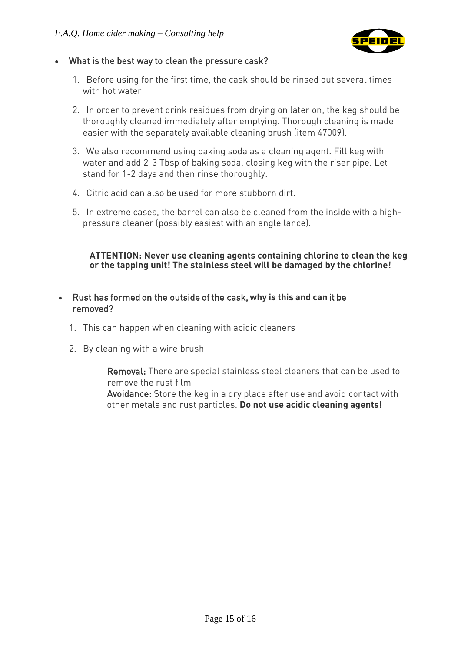

#### What is the best way to clean the pressure cask?

- 1. Before using for the first time, the cask should be rinsed out several times with hot water
- 2. In order to prevent drink residues from drying on later on, the keg should be thoroughly cleaned immediately after emptying. Thorough cleaning is made easier with the separately available cleaning brush (item 47009).
- 3. We also recommend using baking soda as a cleaning agent. Fill keg with water and add 2-3 Tbsp of baking soda, closing keg with the riser pipe. Let stand for 1-2 days and then rinse thoroughly.
- 4. Citric acid can also be used for more stubborn dirt.
- 5. In extreme cases, the barrel can also be cleaned from the inside with a highpressure cleaner (possibly easiest with an angle lance).

#### **ATTENTION: Never use cleaning agents containing chlorine to clean the keg or the tapping unit! The stainless steel will be damaged by the chlorine!**

#### Rust has formed on the outside of the cask, **why is this and can** it be removed?

- 1. This can happen when cleaning with acidic cleaners
- 2. By cleaning with a wire brush

Removal: There are special stainless steel cleaners that can be used to remove the rust film

Avoidance: Store the keg in a dry place after use and avoid contact with other metals and rust particles. **Do not use acidic cleaning agents!**